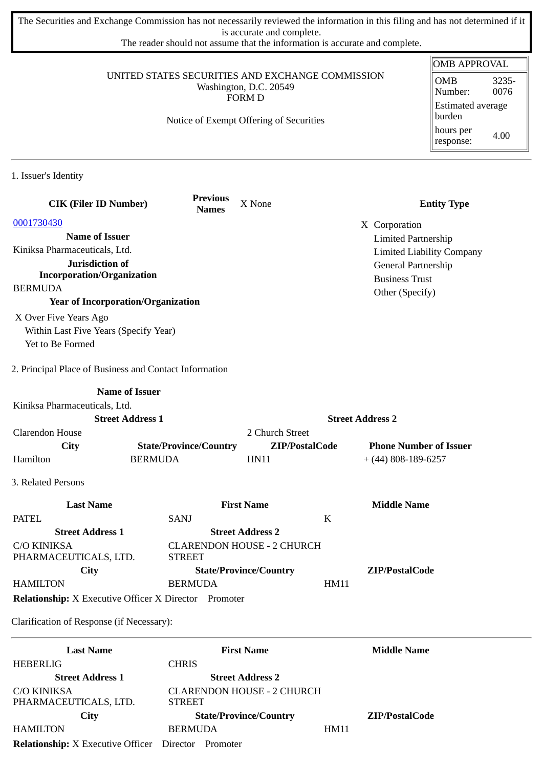The Securities and Exchange Commission has not necessarily reviewed the information in this filing and has not determined if it is accurate and complete.

The reader should not assume that the information is accurate and complete.

|                                                              |                                                             |                               |                                              | <b>OMB APPROVAL</b>                      |
|--------------------------------------------------------------|-------------------------------------------------------------|-------------------------------|----------------------------------------------|------------------------------------------|
| UNITED STATES SECURITIES AND EXCHANGE COMMISSION             | <b>OMB</b><br>3235-<br>0076<br>Number:<br>Estimated average |                               |                                              |                                          |
|                                                              | Notice of Exempt Offering of Securities                     |                               |                                              | burden<br>hours per<br>4.00<br>response: |
| 1. Issuer's Identity                                         |                                                             |                               |                                              |                                          |
| <b>CIK (Filer ID Number)</b>                                 | <b>Previous</b><br><b>Names</b>                             | X None                        |                                              | <b>Entity Type</b>                       |
| 0001730430                                                   |                                                             |                               | X Corporation                                |                                          |
| <b>Name of Issuer</b>                                        |                                                             |                               | <b>Limited Partnership</b>                   |                                          |
| Kiniksa Pharmaceuticals, Ltd.                                |                                                             |                               |                                              | <b>Limited Liability Company</b>         |
| Jurisdiction of<br><b>Incorporation/Organization</b>         |                                                             |                               | General Partnership<br><b>Business Trust</b> |                                          |
| <b>BERMUDA</b>                                               |                                                             |                               | Other (Specify)                              |                                          |
| <b>Year of Incorporation/Organization</b>                    |                                                             |                               |                                              |                                          |
| X Over Five Years Ago                                        |                                                             |                               |                                              |                                          |
| Within Last Five Years (Specify Year)                        |                                                             |                               |                                              |                                          |
| Yet to Be Formed                                             |                                                             |                               |                                              |                                          |
| 2. Principal Place of Business and Contact Information       |                                                             |                               |                                              |                                          |
| <b>Name of Issuer</b>                                        |                                                             |                               |                                              |                                          |
| Kiniksa Pharmaceuticals, Ltd.                                |                                                             |                               |                                              |                                          |
| <b>Street Address 1</b>                                      |                                                             |                               | <b>Street Address 2</b>                      |                                          |
| <b>Clarendon House</b>                                       |                                                             | 2 Church Street               |                                              |                                          |
| City                                                         | <b>State/Province/Country</b>                               | ZIP/PostalCode                | <b>Phone Number of Issuer</b>                |                                          |
| Hamilton                                                     | <b>BERMUDA</b>                                              | <b>HN11</b>                   | $+$ (44) 808-189-6257                        |                                          |
| 3. Related Persons                                           |                                                             |                               |                                              |                                          |
| <b>Last Name</b>                                             |                                                             | <b>First Name</b>             | <b>Middle Name</b>                           |                                          |
| <b>PATEL</b>                                                 | SANJ                                                        |                               | K                                            |                                          |
| <b>Street Address 1</b>                                      |                                                             | <b>Street Address 2</b>       |                                              |                                          |
| <b>C/O KINIKSA</b><br>PHARMACEUTICALS, LTD.                  | <b>CLARENDON HOUSE - 2 CHURCH</b><br><b>STREET</b>          |                               |                                              |                                          |
| City                                                         |                                                             | <b>State/Province/Country</b> | ZIP/PostalCode                               |                                          |
| <b>HAMILTON</b>                                              | <b>BERMUDA</b>                                              |                               | <b>HM11</b>                                  |                                          |
| <b>Relationship:</b> X Executive Officer X Director Promoter |                                                             |                               |                                              |                                          |
| Clarification of Response (if Necessary):                    |                                                             |                               |                                              |                                          |

| <b>Last Name</b>                                  | <b>First Name</b>                 | <b>Middle Name</b> |
|---------------------------------------------------|-----------------------------------|--------------------|
| <b>HEBERLIG</b>                                   | <b>CHRIS</b>                      |                    |
| <b>Street Address 1</b>                           | <b>Street Address 2</b>           |                    |
| C/O KINIKSA                                       | <b>CLARENDON HOUSE - 2 CHURCH</b> |                    |
| PHARMACEUTICALS, LTD.                             | <b>STREET</b>                     |                    |
| City                                              | <b>State/Province/Country</b>     | ZIP/PostalCode     |
| <b>HAMILTON</b>                                   | <b>BERMUDA</b>                    | HM11               |
| <b>Relationship:</b> X Executive Officer Director | Promoter                          |                    |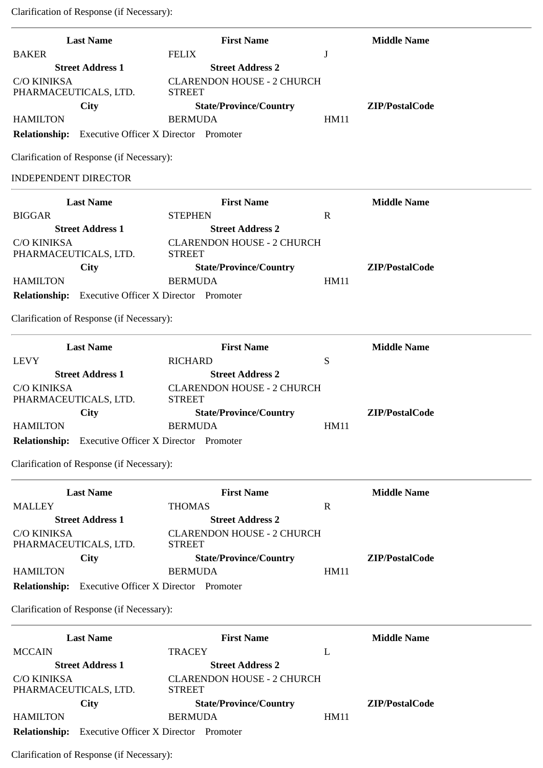| <b>Last Name</b>                                           | <b>First Name</b>                                  |             | <b>Middle Name</b> |
|------------------------------------------------------------|----------------------------------------------------|-------------|--------------------|
| <b>BAKER</b>                                               | <b>FELIX</b>                                       | J           |                    |
| <b>Street Address 1</b>                                    | <b>Street Address 2</b>                            |             |                    |
| <b>C/O KINIKSA</b><br>PHARMACEUTICALS, LTD.                | <b>CLARENDON HOUSE - 2 CHURCH</b><br><b>STREET</b> |             |                    |
| <b>City</b>                                                | <b>State/Province/Country</b>                      |             | ZIP/PostalCode     |
| <b>HAMILTON</b>                                            | <b>BERMUDA</b>                                     | <b>HM11</b> |                    |
| <b>Relationship:</b> Executive Officer X Director Promoter |                                                    |             |                    |
| Clarification of Response (if Necessary):                  |                                                    |             |                    |
| <b>INDEPENDENT DIRECTOR</b>                                |                                                    |             |                    |
| <b>Last Name</b>                                           | <b>First Name</b>                                  |             | <b>Middle Name</b> |
| <b>BIGGAR</b>                                              | <b>STEPHEN</b>                                     | $\mathbf R$ |                    |
| <b>Street Address 1</b>                                    | <b>Street Address 2</b>                            |             |                    |
| <b>C/O KINIKSA</b><br>PHARMACEUTICALS, LTD.                | <b>CLARENDON HOUSE - 2 CHURCH</b><br><b>STREET</b> |             |                    |
| City                                                       | <b>State/Province/Country</b>                      |             | ZIP/PostalCode     |
| <b>HAMILTON</b>                                            | <b>BERMUDA</b>                                     | <b>HM11</b> |                    |
| <b>Relationship:</b> Executive Officer X Director Promoter |                                                    |             |                    |
| Clarification of Response (if Necessary):                  |                                                    |             |                    |
| <b>Last Name</b>                                           | <b>First Name</b>                                  |             | <b>Middle Name</b> |
| <b>LEVY</b>                                                | <b>RICHARD</b>                                     | S           |                    |
| <b>Street Address 1</b>                                    | <b>Street Address 2</b>                            |             |                    |
| C/O KINIKSA<br>PHARMACEUTICALS, LTD.                       | <b>CLARENDON HOUSE - 2 CHURCH</b><br><b>STREET</b> |             |                    |
| <b>City</b>                                                | <b>State/Province/Country</b>                      |             | ZIP/PostalCode     |
| <b>HAMILTON</b>                                            | <b>BERMUDA</b>                                     | <b>HM11</b> |                    |
| Relationship: Executive Officer X Director Promoter        |                                                    |             |                    |

Clarification of Response (if Necessary):

|                                      | <b>Last Name</b>                    | <b>First Name</b>                                  |      | <b>Middle Name</b> |
|--------------------------------------|-------------------------------------|----------------------------------------------------|------|--------------------|
| <b>MALLEY</b>                        |                                     | <b>THOMAS</b>                                      | R    |                    |
|                                      | <b>Street Address 1</b>             | <b>Street Address 2</b>                            |      |                    |
| C/O KINIKSA<br>PHARMACEUTICALS, LTD. |                                     | <b>CLARENDON HOUSE - 2 CHURCH</b><br><b>STREET</b> |      |                    |
|                                      | City                                | <b>State/Province/Country</b>                      |      | ZIP/PostalCode     |
| <b>HAMILTON</b>                      |                                     | <b>BERMUDA</b>                                     | HM11 |                    |
| <b>Relationship:</b>                 | <b>Executive Officer X Director</b> | Promoter                                           |      |                    |

Clarification of Response (if Necessary):

|                                      | <b>Last Name</b>                             |                | <b>First Name</b>                 |      | <b>Middle Name</b> |
|--------------------------------------|----------------------------------------------|----------------|-----------------------------------|------|--------------------|
| <b>MCCAIN</b>                        |                                              | <b>TRACEY</b>  |                                   | L    |                    |
|                                      | <b>Street Address 1</b>                      |                | <b>Street Address 2</b>           |      |                    |
| C/O KINIKSA<br>PHARMACEUTICALS, LTD. |                                              | <b>STREET</b>  | <b>CLARENDON HOUSE - 2 CHURCH</b> |      |                    |
|                                      | City                                         |                | <b>State/Province/Country</b>     |      | ZIP/PostalCode     |
| <b>HAMILTON</b>                      |                                              | <b>BERMUDA</b> |                                   | HM11 |                    |
| <b>Relationship:</b>                 | <b>Executive Officer X Director Promoter</b> |                |                                   |      |                    |

Clarification of Response (if Necessary):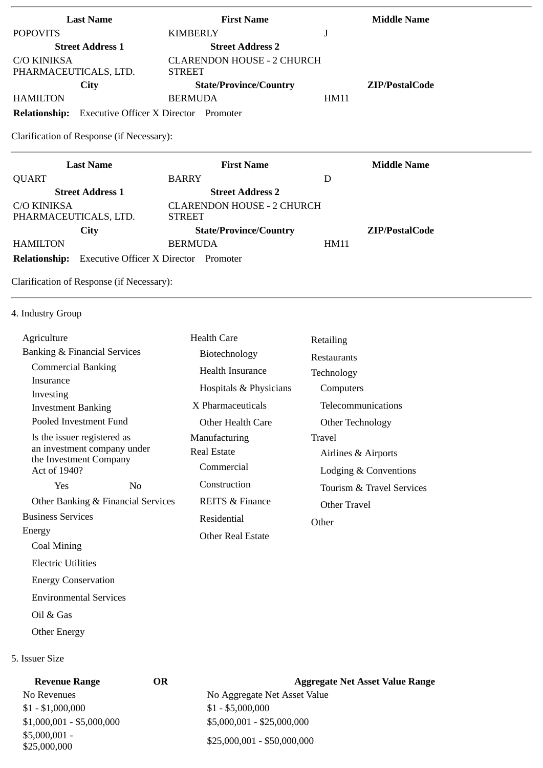| <b>Last Name</b>                                              | <b>First Name</b>                            |      | <b>Middle Name</b> |
|---------------------------------------------------------------|----------------------------------------------|------|--------------------|
| <b>POPOVITS</b>                                               | <b>KIMBERLY</b>                              | J    |                    |
| <b>Street Address 1</b>                                       | <b>Street Address 2</b>                      |      |                    |
| <b>C/O KINIKSA</b>                                            | <b>CLARENDON HOUSE - 2 CHURCH</b>            |      |                    |
| PHARMACEUTICALS, LTD.                                         | <b>STREET</b>                                |      |                    |
| <b>City</b>                                                   | <b>State/Province/Country</b>                |      | ZIP/PostalCode     |
| <b>HAMILTON</b>                                               | <b>BERMUDA</b>                               | HM11 |                    |
| <b>Relationship:</b>                                          | <b>Executive Officer X Director</b> Promoter |      |                    |
| Clarification of Response (if Necessary):<br><b>Last Name</b> | <b>First Name</b>                            |      | <b>Middle Name</b> |
| <b>QUART</b>                                                  | <b>BARRY</b>                                 | D    |                    |
| <b>Street Address 1</b>                                       | <b>Street Address 2</b>                      |      |                    |
| C/O KINIKSA                                                   | <b>CLARENDON HOUSE - 2 CHURCH</b>            |      |                    |
| PHARMACEUTICALS, LTD.                                         | <b>STREET</b>                                |      |                    |
| City                                                          | <b>State/Province/Country</b>                |      | ZIP/PostalCode     |
| <b>HAMILTON</b>                                               | <b>BERMUDA</b>                               | HM11 |                    |
| <b>Executive Officer X Director</b><br><b>Relationship:</b>   |                                              |      |                    |

Clarification of Response (if Necessary):

4. Industry Group

| Agriculture                                           |  | <b>Health Care</b>         | Retailing                 |
|-------------------------------------------------------|--|----------------------------|---------------------------|
| Banking & Financial Services                          |  | Biotechnology              | <b>Restaurants</b>        |
| <b>Commercial Banking</b>                             |  | <b>Health Insurance</b>    | Technology                |
| Insurance<br>Investing                                |  | Hospitals & Physicians     | Computers                 |
| <b>Investment Banking</b>                             |  | X Pharmaceuticals          | Telecommunications        |
| Pooled Investment Fund                                |  | Other Health Care          | Other Technology          |
| Is the issuer registered as                           |  | Manufacturing              | Travel                    |
| an investment company under<br>the Investment Company |  | <b>Real Estate</b>         | Airlines & Airports       |
| Act of 1940?                                          |  | Commercial                 | Lodging & Conventions     |
| Yes<br>N <sub>0</sub>                                 |  | Construction               | Tourism & Travel Services |
| Other Banking & Financial Services                    |  | <b>REITS &amp; Finance</b> | Other Travel              |
| <b>Business Services</b>                              |  | Residential                | Other                     |
| Energy                                                |  | <b>Other Real Estate</b>   |                           |
| Coal Mining                                           |  |                            |                           |
| <b>Electric Utilities</b>                             |  |                            |                           |
| <b>Energy Conservation</b>                            |  |                            |                           |

Oil & Gas

Environmental Services

Other Energy

# 5. Issuer Size

| <b>Revenue Range</b>           | OR | <b>Aggregate Net Asset Value Range</b> |
|--------------------------------|----|----------------------------------------|
| No Revenues                    |    | No Aggregate Net Asset Value           |
| $$1 - $1,000,000$              |    | $$1 - $5,000,000$                      |
| $$1,000,001 - $5,000,000$      |    | $$5,000,001 - $25,000,000$             |
| $$5,000,001 -$<br>\$25,000,000 |    | \$25,000,001 - \$50,000,000            |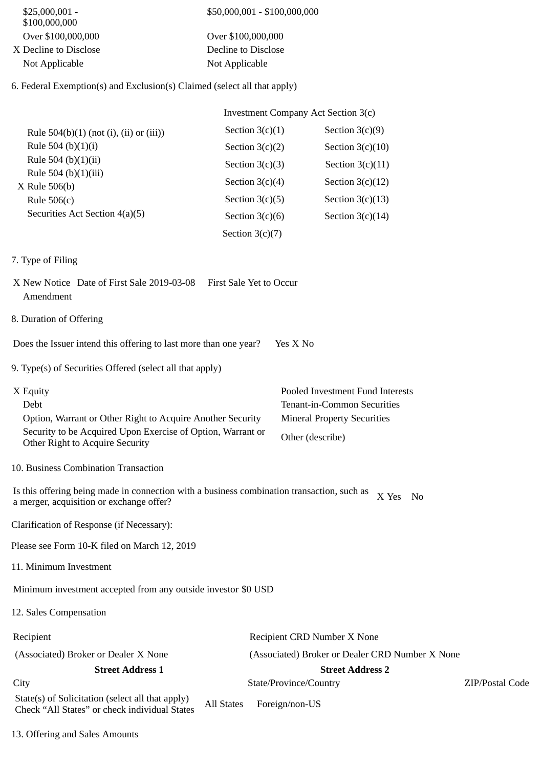| \$25,000,001 -<br>\$100,000,000                                                                                                        | \$50,000,001 - \$100,000,000 |                        |                                                 |                 |
|----------------------------------------------------------------------------------------------------------------------------------------|------------------------------|------------------------|-------------------------------------------------|-----------------|
| Over \$100,000,000                                                                                                                     | Over \$100,000,000           |                        |                                                 |                 |
| X Decline to Disclose                                                                                                                  | Decline to Disclose          |                        |                                                 |                 |
| Not Applicable                                                                                                                         | Not Applicable               |                        |                                                 |                 |
| 6. Federal Exemption(s) and Exclusion(s) Claimed (select all that apply)                                                               |                              |                        |                                                 |                 |
|                                                                                                                                        |                              |                        | <b>Investment Company Act Section 3(c)</b>      |                 |
| Rule $504(b)(1)$ (not (i), (ii) or (iii))                                                                                              | Section $3(c)(1)$            |                        | Section $3(c)(9)$                               |                 |
| Rule 504 (b)(1)(i)                                                                                                                     | Section $3(c)(2)$            |                        | Section $3(c)(10)$                              |                 |
| Rule 504 (b)(1)(ii)                                                                                                                    | Section $3(c)(3)$            |                        | Section $3(c)(11)$                              |                 |
| Rule 504 (b)(1)(iii)                                                                                                                   |                              |                        |                                                 |                 |
| $X$ Rule 506(b)                                                                                                                        | Section $3(c)(4)$            |                        | Section $3(c)(12)$                              |                 |
| Rule $506(c)$                                                                                                                          | Section $3(c)(5)$            |                        | Section $3(c)(13)$                              |                 |
| Securities Act Section 4(a)(5)                                                                                                         | Section $3(c)(6)$            |                        | Section $3(c)(14)$                              |                 |
|                                                                                                                                        | Section $3(c)(7)$            |                        |                                                 |                 |
| 7. Type of Filing                                                                                                                      |                              |                        |                                                 |                 |
| X New Notice Date of First Sale 2019-03-08<br>Amendment                                                                                | First Sale Yet to Occur      |                        |                                                 |                 |
| 8. Duration of Offering                                                                                                                |                              |                        |                                                 |                 |
| Does the Issuer intend this offering to last more than one year?                                                                       |                              | Yes X No               |                                                 |                 |
| 9. Type(s) of Securities Offered (select all that apply)                                                                               |                              |                        |                                                 |                 |
| X Equity                                                                                                                               |                              |                        | Pooled Investment Fund Interests                |                 |
| Debt                                                                                                                                   |                              |                        | Tenant-in-Common Securities                     |                 |
| Option, Warrant or Other Right to Acquire Another Security                                                                             |                              |                        | <b>Mineral Property Securities</b>              |                 |
| Security to be Acquired Upon Exercise of Option, Warrant or<br>Other Right to Acquire Security                                         |                              | Other (describe)       |                                                 |                 |
| 10. Business Combination Transaction                                                                                                   |                              |                        |                                                 |                 |
| Is this offering being made in connection with a business combination transaction, such as<br>a merger, acquisition or exchange offer? |                              |                        | X Yes No                                        |                 |
| Clarification of Response (if Necessary):                                                                                              |                              |                        |                                                 |                 |
| Please see Form 10-K filed on March 12, 2019                                                                                           |                              |                        |                                                 |                 |
| 11. Minimum Investment                                                                                                                 |                              |                        |                                                 |                 |
| Minimum investment accepted from any outside investor \$0 USD                                                                          |                              |                        |                                                 |                 |
| 12. Sales Compensation                                                                                                                 |                              |                        |                                                 |                 |
| Recipient                                                                                                                              |                              |                        | Recipient CRD Number X None                     |                 |
| (Associated) Broker or Dealer X None                                                                                                   |                              |                        | (Associated) Broker or Dealer CRD Number X None |                 |
| <b>Street Address 1</b>                                                                                                                |                              |                        | <b>Street Address 2</b>                         |                 |
| City                                                                                                                                   |                              | State/Province/Country |                                                 | ZIP/Postal Code |
| State(s) of Solicitation (select all that apply)<br>Check "All States" or check individual States                                      | <b>All States</b>            | Foreign/non-US         |                                                 |                 |

13. Offering and Sales Amounts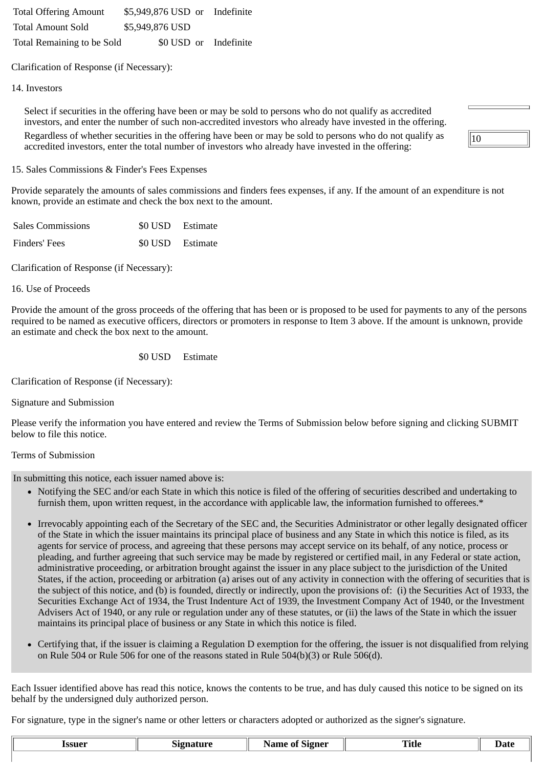Total Offering Amount \$5,949,876 USD or Indefinite Total Amount Sold \$5,949,876 USD Total Remaining to be Sold \$0 USD or Indefinite

Clarification of Response (if Necessary):

### 14. Investors

Select if securities in the offering have been or may be sold to persons who do not qualify as accredited investors, and enter the number of such non-accredited investors who already have invested in the offering. Regardless of whether securities in the offering have been or may be sold to persons who do not qualify as accredited investors, enter the total number of investors who already have invested in the offering:

| 1 |  |  |
|---|--|--|

#### 15. Sales Commissions & Finder's Fees Expenses

Provide separately the amounts of sales commissions and finders fees expenses, if any. If the amount of an expenditure is not known, provide an estimate and check the box next to the amount.

| <b>Sales Commissions</b> | \$0 USD Estimate |
|--------------------------|------------------|
| Finders' Fees            | \$0 USD Estimate |

Clarification of Response (if Necessary):

#### 16. Use of Proceeds

Provide the amount of the gross proceeds of the offering that has been or is proposed to be used for payments to any of the persons required to be named as executive officers, directors or promoters in response to Item 3 above. If the amount is unknown, provide an estimate and check the box next to the amount.

## \$0 USD Estimate

Clarification of Response (if Necessary):

Signature and Submission

Please verify the information you have entered and review the Terms of Submission below before signing and clicking SUBMIT below to file this notice.

### Terms of Submission

In submitting this notice, each issuer named above is:

- Notifying the SEC and/or each State in which this notice is filed of the offering of securities described and undertaking to furnish them, upon written request, in the accordance with applicable law, the information furnished to offerees.\*
- Irrevocably appointing each of the Secretary of the SEC and, the Securities Administrator or other legally designated officer of the State in which the issuer maintains its principal place of business and any State in which this notice is filed, as its agents for service of process, and agreeing that these persons may accept service on its behalf, of any notice, process or pleading, and further agreeing that such service may be made by registered or certified mail, in any Federal or state action, administrative proceeding, or arbitration brought against the issuer in any place subject to the jurisdiction of the United States, if the action, proceeding or arbitration (a) arises out of any activity in connection with the offering of securities that is the subject of this notice, and (b) is founded, directly or indirectly, upon the provisions of: (i) the Securities Act of 1933, the Securities Exchange Act of 1934, the Trust Indenture Act of 1939, the Investment Company Act of 1940, or the Investment Advisers Act of 1940, or any rule or regulation under any of these statutes, or (ii) the laws of the State in which the issuer maintains its principal place of business or any State in which this notice is filed.
- Certifying that, if the issuer is claiming a Regulation D exemption for the offering, the issuer is not disqualified from relying on Rule 504 or Rule 506 for one of the reasons stated in Rule 504(b)(3) or Rule 506(d).

Each Issuer identified above has read this notice, knows the contents to be true, and has duly caused this notice to be signed on its behalf by the undersigned duly authorized person.

For signature, type in the signer's name or other letters or characters adopted or authorized as the signer's signature.

| 1SSUe <sup>r</sup><br>---- | . | .<br>orene. | – | ----- |
|----------------------------|---|-------------|---|-------|
|                            |   |             |   |       |